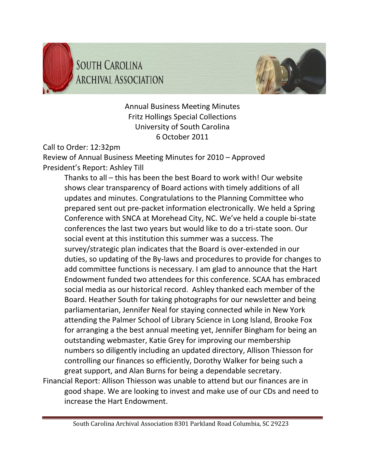



Annual Business Meeting Minutes Fritz Hollings Special Collections University of South Carolina 6 October 2011

## Call to Order: 12:32pm

Review of Annual Business Meeting Minutes for 2010 – Approved President's Report: Ashley Till

Thanks to all – this has been the best Board to work with! Our website shows clear transparency of Board actions with timely additions of all updates and minutes. Congratulations to the Planning Committee who prepared sent out pre-packet information electronically. We held a Spring Conference with SNCA at Morehead City, NC. We've held a couple bi-state conferences the last two years but would like to do a tri-state soon. Our social event at this institution this summer was a success. The survey/strategic plan indicates that the Board is over-extended in our duties, so updating of the By-laws and procedures to provide for changes to add committee functions is necessary. I am glad to announce that the Hart Endowment funded two attendees for this conference. SCAA has embraced social media as our historical record. Ashley thanked each member of the Board. Heather South for taking photographs for our newsletter and being parliamentarian, Jennifer Neal for staying connected while in New York attending the Palmer School of Library Science in Long Island, Brooke Fox for arranging a the best annual meeting yet, Jennifer Bingham for being an outstanding webmaster, Katie Grey for improving our membership numbers so diligently including an updated directory, Allison Thiesson for controlling our finances so efficiently, Dorothy Walker for being such a great support, and Alan Burns for being a dependable secretary.

Financial Report: Allison Thiesson was unable to attend but our finances are in good shape. We are looking to invest and make use of our CDs and need to increase the Hart Endowment.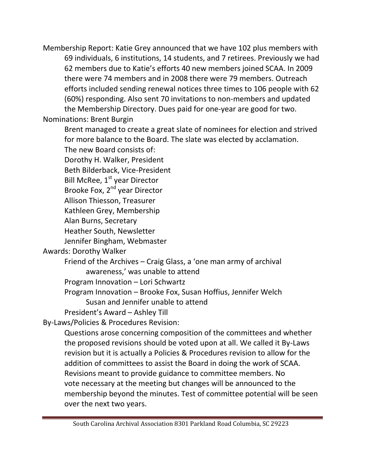Membership Report: Katie Grey announced that we have 102 plus members with 69 individuals, 6 institutions, 14 students, and 7 retirees. Previously we had 62 members due to Katie's efforts 40 new members joined SCAA. In 2009 there were 74 members and in 2008 there were 79 members. Outreach efforts included sending renewal notices three times to 106 people with 62 (60%) responding. Also sent 70 invitations to non-members and updated the Membership Directory. Dues paid for one-year are good for two.

Nominations: Brent Burgin

Brent managed to create a great slate of nominees for election and strived for more balance to the Board. The slate was elected by acclamation.

The new Board consists of:

Dorothy H. Walker, President

Beth Bilderback, Vice-President

Bill McRee, 1<sup>st</sup> year Director

Brooke Fox, 2<sup>nd</sup> year Director

Allison Thiesson, Treasurer

Kathleen Grey, Membership

Alan Burns, Secretary

Heather South, Newsletter

Jennifer Bingham, Webmaster

Awards: Dorothy Walker

Friend of the Archives – Craig Glass, a 'one man army of archival awareness,' was unable to attend

Program Innovation – Lori Schwartz

Program Innovation – Brooke Fox, Susan Hoffius, Jennifer Welch

Susan and Jennifer unable to attend

President's Award – Ashley Till

By-Laws/Policies & Procedures Revision:

Questions arose concerning composition of the committees and whether the proposed revisions should be voted upon at all. We called it By-Laws revision but it is actually a Policies & Procedures revision to allow for the addition of committees to assist the Board in doing the work of SCAA. Revisions meant to provide guidance to committee members. No vote necessary at the meeting but changes will be announced to the membership beyond the minutes. Test of committee potential will be seen over the next two years.